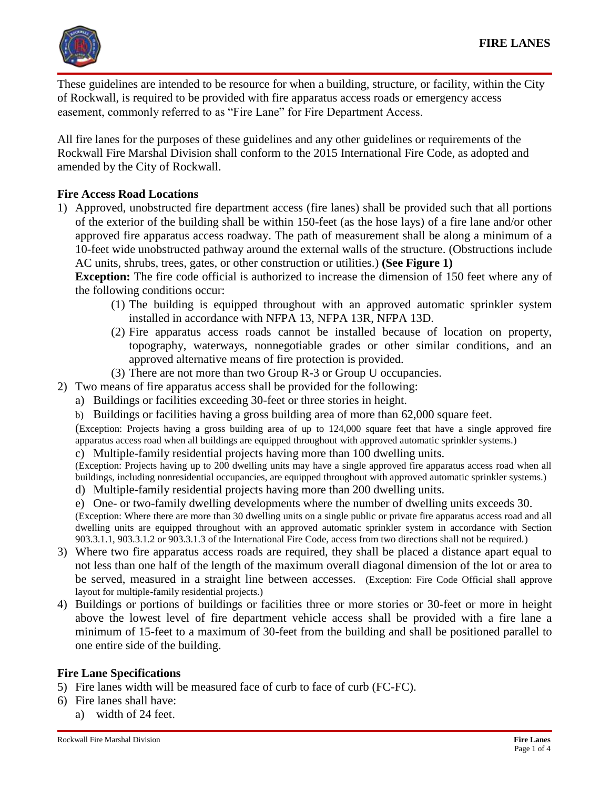

These guidelines are intended to be resource for when a building, structure, or facility, within the City of Rockwall, is required to be provided with fire apparatus access roads or emergency access easement, commonly referred to as "Fire Lane" for Fire Department Access.

All fire lanes for the purposes of these guidelines and any other guidelines or requirements of the Rockwall Fire Marshal Division shall conform to the 2015 International Fire Code, as adopted and amended by the City of Rockwall.

#### **Fire Access Road Locations**

1) Approved, unobstructed fire department access (fire lanes) shall be provided such that all portions of the exterior of the building shall be within 150-feet (as the hose lays) of a fire lane and/or other approved fire apparatus access roadway. The path of measurement shall be along a minimum of a 10-feet wide unobstructed pathway around the external walls of the structure. (Obstructions include AC units, shrubs, trees, gates, or other construction or utilities.) **(See Figure 1)**

**Exception:** The fire code official is authorized to increase the dimension of 150 feet where any of the following conditions occur:

- (1) The building is equipped throughout with an approved automatic sprinkler system installed in accordance with NFPA 13, NFPA 13R, NFPA 13D.
- (2) Fire apparatus access roads cannot be installed because of location on property, topography, waterways, nonnegotiable grades or other similar conditions, and an approved alternative means of fire protection is provided.
- (3) There are not more than two Group R-3 or Group U occupancies.
- 2) Two means of fire apparatus access shall be provided for the following:
	- a) Buildings or facilities exceeding 30-feet or three stories in height.
	- b) Buildings or facilities having a gross building area of more than 62,000 square feet.

(Exception: Projects having a gross building area of up to 124,000 square feet that have a single approved fire apparatus access road when all buildings are equipped throughout with approved automatic sprinkler systems.)

c) Multiple-family residential projects having more than 100 dwelling units.

(Exception: Projects having up to 200 dwelling units may have a single approved fire apparatus access road when all buildings, including nonresidential occupancies, are equipped throughout with approved automatic sprinkler systems.)

d) Multiple-family residential projects having more than 200 dwelling units.

e) One- or two-family dwelling developments where the number of dwelling units exceeds 30. (Exception: Where there are more than 30 dwelling units on a single public or private fire apparatus access road and all dwelling units are equipped throughout with an approved automatic sprinkler system in accordance with Section 903.3.1.1, 903.3.1.2 or 903.3.1.3 of the International Fire Code, access from two directions shall not be required.)

- 3) Where two fire apparatus access roads are required, they shall be placed a distance apart equal to not less than one half of the length of the maximum overall diagonal dimension of the lot or area to be served, measured in a straight line between accesses. (Exception: Fire Code Official shall approve layout for multiple-family residential projects.)
- 4) Buildings or portions of buildings or facilities three or more stories or 30-feet or more in height above the lowest level of fire department vehicle access shall be provided with a fire lane a minimum of 15-feet to a maximum of 30-feet from the building and shall be positioned parallel to one entire side of the building.

#### **Fire Lane Specifications**

5) Fire lanes width will be measured face of curb to face of curb (FC-FC).

- 6) Fire lanes shall have:
	- a) width of 24 feet.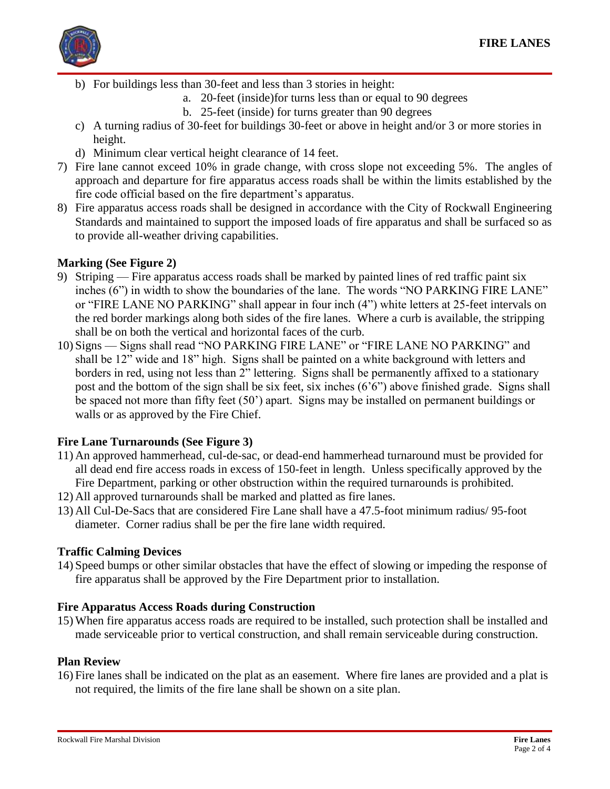

- b) For buildings less than 30-feet and less than 3 stories in height:
	- a. 20-feet (inside)for turns less than or equal to 90 degrees
	- b. 25-feet (inside) for turns greater than 90 degrees
- c) A turning radius of 30-feet for buildings 30-feet or above in height and/or 3 or more stories in height.
- d) Minimum clear vertical height clearance of 14 feet.
- 7) Fire lane cannot exceed 10% in grade change, with cross slope not exceeding 5%. The angles of approach and departure for fire apparatus access roads shall be within the limits established by the fire code official based on the fire department's apparatus.
- 8) Fire apparatus access roads shall be designed in accordance with the City of Rockwall Engineering Standards and maintained to support the imposed loads of fire apparatus and shall be surfaced so as to provide all-weather driving capabilities.

### **Marking (See Figure 2)**

- 9) Striping Fire apparatus access roads shall be marked by painted lines of red traffic paint six inches (6") in width to show the boundaries of the lane. The words "NO PARKING FIRE LANE" or "FIRE LANE NO PARKING" shall appear in four inch (4") white letters at 25-feet intervals on the red border markings along both sides of the fire lanes. Where a curb is available, the stripping shall be on both the vertical and horizontal faces of the curb.
- 10) Signs Signs shall read "NO PARKING FIRE LANE" or "FIRE LANE NO PARKING" and shall be 12" wide and 18" high. Signs shall be painted on a white background with letters and borders in red, using not less than 2" lettering. Signs shall be permanently affixed to a stationary post and the bottom of the sign shall be six feet, six inches (6'6") above finished grade. Signs shall be spaced not more than fifty feet (50') apart. Signs may be installed on permanent buildings or walls or as approved by the Fire Chief.

#### **Fire Lane Turnarounds (See Figure 3)**

- 11) An approved hammerhead, cul-de-sac, or dead-end hammerhead turnaround must be provided for all dead end fire access roads in excess of 150-feet in length. Unless specifically approved by the Fire Department, parking or other obstruction within the required turnarounds is prohibited.
- 12) All approved turnarounds shall be marked and platted as fire lanes.
- 13) All Cul-De-Sacs that are considered Fire Lane shall have a 47.5-foot minimum radius/ 95-foot diameter. Corner radius shall be per the fire lane width required.

#### **Traffic Calming Devices**

14) Speed bumps or other similar obstacles that have the effect of slowing or impeding the response of fire apparatus shall be approved by the Fire Department prior to installation.

#### **Fire Apparatus Access Roads during Construction**

15) When fire apparatus access roads are required to be installed, such protection shall be installed and made serviceable prior to vertical construction, and shall remain serviceable during construction.

#### **Plan Review**

16) Fire lanes shall be indicated on the plat as an easement. Where fire lanes are provided and a plat is not required, the limits of the fire lane shall be shown on a site plan.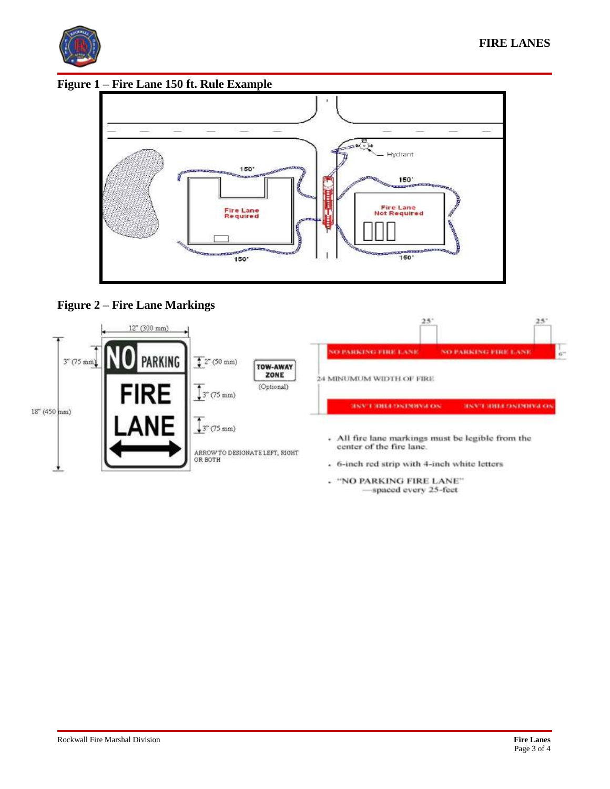

**Figure 1 – Fire Lane 150 ft. Rule Example** 



## **Figure 2 – Fire Lane Markings**



-spaced every 25-feet